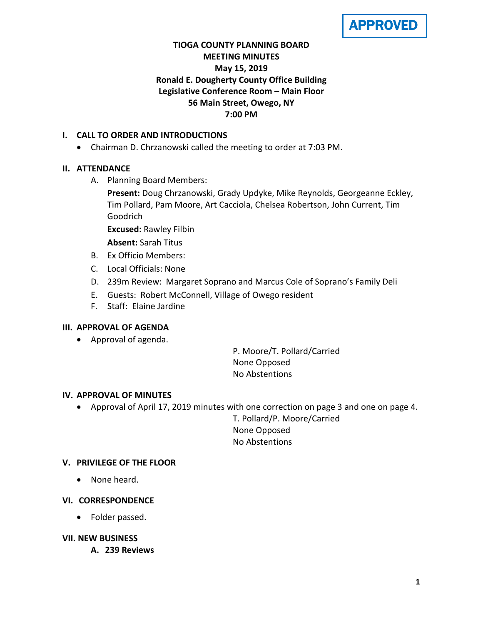APPROVED

## **TIOGA COUNTY PLANNING BOARD MEETING MINUTES May 15, 2019 Ronald E. Dougherty County Office Building Legislative Conference Room – Main Floor 56 Main Street, Owego, NY 7:00 PM**

## **I. CALL TO ORDER AND INTRODUCTIONS**

• Chairman D. Chrzanowski called the meeting to order at 7:03 PM.

## **II. ATTENDANCE**

A. Planning Board Members:

**Present:** Doug Chrzanowski, Grady Updyke, Mike Reynolds, Georgeanne Eckley, Tim Pollard, Pam Moore, Art Cacciola, Chelsea Robertson, John Current, Tim Goodrich

**Excused:** Rawley Filbin

**Absent:** Sarah Titus

- B. Ex Officio Members:
- C. Local Officials: None
- D. 239m Review: Margaret Soprano and Marcus Cole of Soprano's Family Deli
- E. Guests: Robert McConnell, Village of Owego resident
- F. Staff: Elaine Jardine

### **III. APPROVAL OF AGENDA**

• Approval of agenda.

P. Moore/T. Pollard/Carried None Opposed No Abstentions

### **IV. APPROVAL OF MINUTES**

• Approval of April 17, 2019 minutes with one correction on page 3 and one on page 4.

T. Pollard/P. Moore/Carried None Opposed No Abstentions

### **V. PRIVILEGE OF THE FLOOR**

• None heard.

### **VI. CORRESPONDENCE**

• Folder passed.

### **VII. NEW BUSINESS**

**A. 239 Reviews**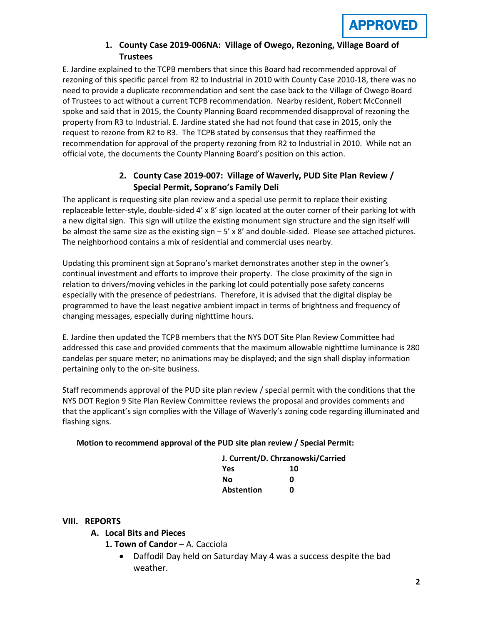## **1. County Case 2019-006NA: Village of Owego, Rezoning, Village Board of Trustees**

E. Jardine explained to the TCPB members that since this Board had recommended approval of rezoning of this specific parcel from R2 to Industrial in 2010 with County Case 2010-18, there was no need to provide a duplicate recommendation and sent the case back to the Village of Owego Board of Trustees to act without a current TCPB recommendation. Nearby resident, Robert McConnell spoke and said that in 2015, the County Planning Board recommended disapproval of rezoning the property from R3 to Industrial. E. Jardine stated she had not found that case in 2015, only the request to rezone from R2 to R3. The TCPB stated by consensus that they reaffirmed the recommendation for approval of the property rezoning from R2 to Industrial in 2010. While not an official vote, the documents the County Planning Board's position on this action.

# **2. County Case 2019-007: Village of Waverly, PUD Site Plan Review / Special Permit, Soprano's Family Deli**

The applicant is requesting site plan review and a special use permit to replace their existing replaceable letter-style, double-sided 4' x 8' sign located at the outer corner of their parking lot with a new digital sign. This sign will utilize the existing monument sign structure and the sign itself will be almost the same size as the existing sign  $-5' \times 8'$  and double-sided. Please see attached pictures. The neighborhood contains a mix of residential and commercial uses nearby.

Updating this prominent sign at Soprano's market demonstrates another step in the owner's continual investment and efforts to improve their property. The close proximity of the sign in relation to drivers/moving vehicles in the parking lot could potentially pose safety concerns especially with the presence of pedestrians. Therefore, it is advised that the digital display be programmed to have the least negative ambient impact in terms of brightness and frequency of changing messages, especially during nighttime hours.

E. Jardine then updated the TCPB members that the NYS DOT Site Plan Review Committee had addressed this case and provided comments that the maximum allowable nighttime luminance is 280 candelas per square meter; no animations may be displayed; and the sign shall display information pertaining only to the on-site business.

Staff recommends approval of the PUD site plan review / special permit with the conditions that the NYS DOT Region 9 Site Plan Review Committee reviews the proposal and provides comments and that the applicant's sign complies with the Village of Waverly's zoning code regarding illuminated and flashing signs.

### **Motion to recommend approval of the PUD site plan review / Special Permit:**

| J. Current/D. Chrzanowski/Carried |    |
|-----------------------------------|----|
| <b>Yes</b>                        | 10 |
| Nο                                | ŋ  |
| Abstention                        | ŋ  |

### **VIII. REPORTS**

- **A. Local Bits and Pieces**
	- **1. Town of Candor** A. Cacciola
		- Daffodil Day held on Saturday May 4 was a success despite the bad weather.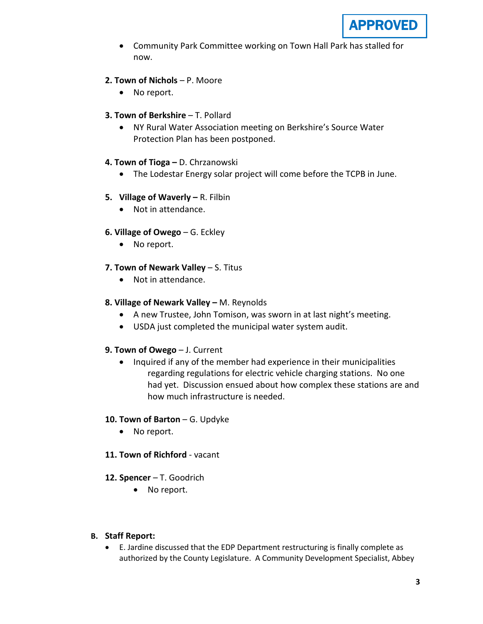

- Community Park Committee working on Town Hall Park has stalled for now.
- **2. Town of Nichols**  P. Moore
	- No report.
- **3. Town of Berkshire** T. Pollard
	- NY Rural Water Association meeting on Berkshire's Source Water Protection Plan has been postponed.
- **4. Town of Tioga –** D. Chrzanowski
	- The Lodestar Energy solar project will come before the TCPB in June.
- **5. Village of Waverly –** R. Filbin
	- Not in attendance.
- **6. Village of Owego** G. Eckley
	- No report.
- **7. Town of Newark Valley** S. Titus
	- Not in attendance.
- **8. Village of Newark Valley –** M. Reynolds
	- A new Trustee, John Tomison, was sworn in at last night's meeting.
	- USDA just completed the municipal water system audit.
- **9. Town of Owego** J. Current
	- Inquired if any of the member had experience in their municipalities regarding regulations for electric vehicle charging stations. No one had yet. Discussion ensued about how complex these stations are and how much infrastructure is needed.
- **10. Town of Barton** G. Updyke
	- No report.
- **11. Town of Richford** vacant
- **12. Spencer** T. Goodrich
	- No report.
- **B. Staff Report:** 
	- E. Jardine discussed that the EDP Department restructuring is finally complete as authorized by the County Legislature. A Community Development Specialist, Abbey